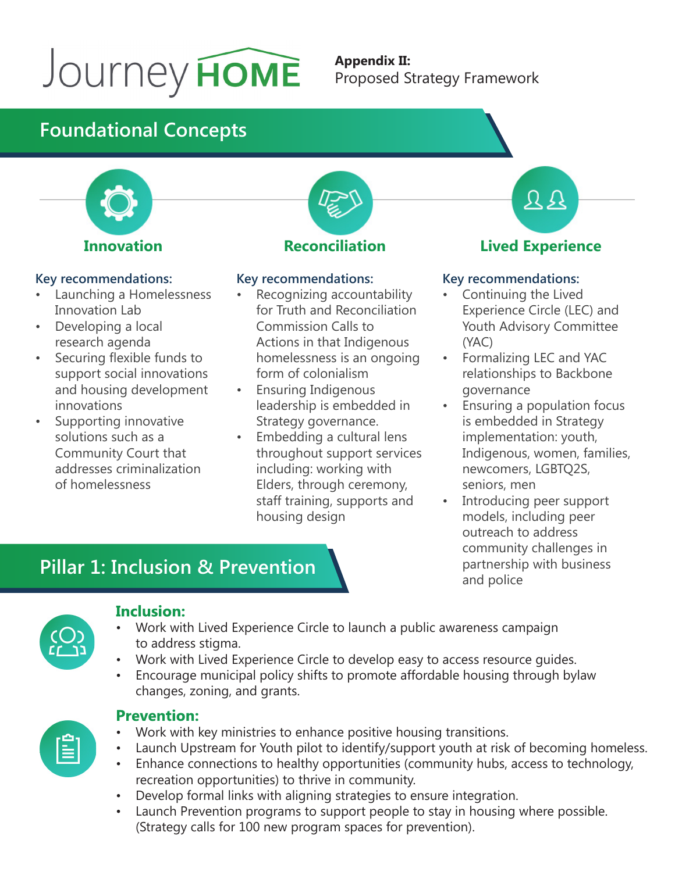# Journey HOME

#### **Appendix II:** Proposed Strategy Framework

# **Foundational Concepts**



#### **Key recommendations:**

- Launching a Homelessness Innovation Lab
- Developing a local research agenda
- Securing flexible funds to support social innovations and housing development innovations
- Supporting innovative solutions such as a Community Court that addresses criminalization of homelessness



#### **Key recommendations:**

- Recognizing accountability for Truth and Reconciliation Commission Calls to Actions in that Indigenous homelessness is an ongoing form of colonialism
- Ensuring Indigenous leadership is embedded in Strategy governance.
- Embedding a cultural lens throughout support services including: working with Elders, through ceremony, staff training, supports and housing design

 $\Omega$ 

### **Lived Experience**

#### **Key recommendations:**

- Continuing the Lived Experience Circle (LEC) and Youth Advisory Committee (YAC)
- Formalizing LEC and YAC relationships to Backbone governance
- Ensuring a population focus is embedded in Strategy implementation: youth, Indigenous, women, families, newcomers, LGBTQ2S, seniors, men
- Introducing peer support models, including peer outreach to address community challenges in partnership with business and police

# **Pillar 1: Inclusion & Prevention**



#### **Inclusion:**

- Work with Lived Experience Circle to launch a public awareness campaign to address stigma.
- Work with Lived Experience Circle to develop easy to access resource guides.
- Encourage municipal policy shifts to promote affordable housing through bylaw changes, zoning, and grants.



#### **Prevention:**

- Work with key ministries to enhance positive housing transitions.
- Launch Upstream for Youth pilot to identify/support youth at risk of becoming homeless.
- Enhance connections to healthy opportunities (community hubs, access to technology, recreation opportunities) to thrive in community.
- Develop formal links with aligning strategies to ensure integration.
- Launch Prevention programs to support people to stay in housing where possible. (Strategy calls for 100 new program spaces for prevention).